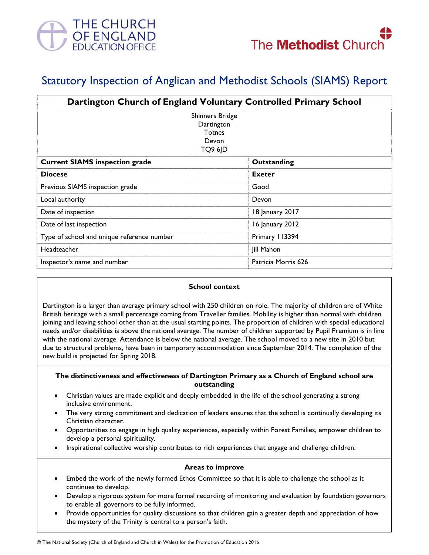

# Statutory Inspection of Anglican and Methodist Schools (SIAMS) Report

| Dartington Church of England Voluntary Controlled Primary School   |                     |
|--------------------------------------------------------------------|---------------------|
| <b>Shinners Bridge</b><br>Dartington<br>Totnes<br>Devon<br>TQ9 6JD |                     |
| <b>Current SIAMS inspection grade</b>                              | Outstanding         |
| <b>Diocese</b>                                                     | Exeter              |
| Previous SIAMS inspection grade                                    | Good                |
| Local authority                                                    | Devon               |
| Date of inspection                                                 | 18 January 2017     |
| Date of last inspection                                            | 16 January 2012     |
| Type of school and unique reference number                         | Primary 113394      |
| Headteacher                                                        | Jill Mahon          |
| Inspector's name and number                                        | Patricia Morris 626 |

#### **School context**

Dartington is a larger than average primary school with 250 children on role. The majority of children are of White British heritage with a small percentage coming from Traveller families. Mobility is higher than normal with children joining and leaving school other than at the usual starting points. The proportion of children with special educational needs and/or disabilities is above the national average. The number of children supported by Pupil Premium is in line with the national average. Attendance is below the national average. The school moved to a new site in 2010 but due to structural problems, have been in temporary accommodation since September 2014. The completion of the new build is projected for Spring 2018.

### **The distinctiveness and effectiveness of Dartington Primary as a Church of England school are outstanding**

- Christian values are made explicit and deeply embedded in the life of the school generating a strong inclusive environment.
- The very strong commitment and dedication of leaders ensures that the school is continually developing its Christian character.
- Opportunities to engage in high quality experiences, especially within Forest Families, empower children to develop a personal spirituality.
- Inspirational collective worship contributes to rich experiences that engage and challenge children.

#### **Areas to improve**

- Embed the work of the newly formed Ethos Committee so that it is able to challenge the school as it continues to develop.
- Develop a rigorous system for more formal recording of monitoring and evaluation by foundation governors to enable all governors to be fully informed.
- Provide opportunities for quality discussions so that children gain a greater depth and appreciation of how the mystery of the Trinity is central to a person's faith.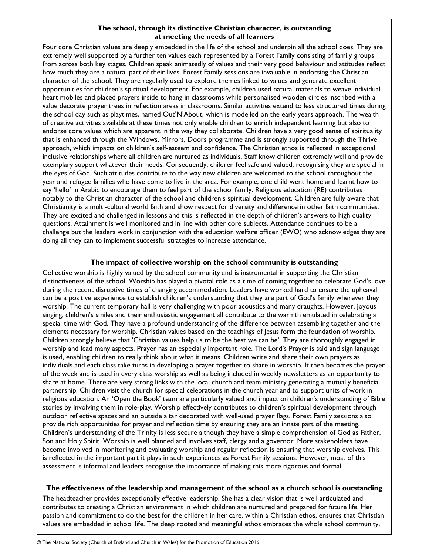# **The school, through its distinctive Christian character, is outstanding at meeting the needs of all learners**

Four core Christian values are deeply embedded in the life of the school and underpin all the school does. They are extremely well supported by a further ten values each represented by a Forest Family consisting of family groups from across both key stages. Children speak animatedly of values and their very good behaviour and attitudes reflect how much they are a natural part of their lives. Forest Family sessions are invaluable in endorsing the Christian character of the school. They are regularly used to explore themes linked to values and generate excellent opportunities for children's spiritual development. For example, children used natural materials to weave individual heart mobiles and placed prayers inside to hang in classrooms while personalised wooden circles inscribed with a value decorate prayer trees in reflection areas in classrooms. Similar activities extend to less structured times during the school day such as playtimes, named Out'N'About, which is modelled on the early years approach. The wealth of creative activities available at these times not only enable children to enrich independent learning but also to endorse core values which are apparent in the way they collaborate. Children have a very good sense of spirituality that is enhanced through the Windows, Mirrors, Doors programme and is strongly supported through the Thrive approach, which impacts on children's self-esteem and confidence. The Christian ethos is reflected in exceptional inclusive relationships where all children are nurtured as individuals. Staff know children extremely well and provide exemplary support whatever their needs. Consequently, children feel safe and valued, recognising they are special in the eyes of God. Such attitudes contribute to the way new children are welcomed to the school throughout the year and refugee families who have come to live in the area. For example, one child went home and learnt how to say 'hello' in Arabic to encourage them to feel part of the school family. Religious education (RE) contributes notably to the Christian character of the school and children's spiritual development. Children are fully aware that Christianity is a multi-cultural world faith and show respect for diversity and difference in other faith communities. They are excited and challenged in lessons and this is reflected in the depth of children's answers to high quality questions. Attainment is well monitored and in line with other core subjects. Attendance continues to be a challenge but the leaders work in conjunction with the education welfare officer (EWO) who acknowledges they are doing all they can to implement successful strategies to increase attendance.

# **The impact of collective worship on the school community is outstanding**

Collective worship is highly valued by the school community and is instrumental in supporting the Christian distinctiveness of the school. Worship has played a pivotal role as a time of coming together to celebrate God's love during the recent disruptive times of changing accommodation. Leaders have worked hard to ensure the upheaval can be a positive experience to establish children's understanding that they are part of God's family wherever they worship. The current temporary hall is very challenging with poor acoustics and many draughts. However, joyous singing, children's smiles and their enthusiastic engagement all contribute to the warmth emulated in celebrating a special time with God. They have a profound understanding of the difference between assembling together and the elements necessary for worship. Christian values based on the teachings of Jesus form the foundation of worship. Children strongly believe that 'Christian values help us to be the best we can be'. They are thoroughly engaged in worship and lead many aspects. Prayer has an especially important role. The Lord's Prayer is said and sign language is used, enabling children to really think about what it means. Children write and share their own prayers as individuals and each class take turns in developing a prayer together to share in worship. It then becomes the prayer of the week and is used in every class worship as well as being included in weekly newsletters as an opportunity to share at home. There are very strong links with the local church and team ministry generating a mutually beneficial partnership. Children visit the church for special celebrations in the church year and to support units of work in religious education. An 'Open the Book' team are particularly valued and impact on children's understanding of Bible stories by involving them in role-play. Worship effectively contributes to children's spiritual development through outdoor reflective spaces and an outside altar decorated with well-used prayer flags. Forest Family sessions also provide rich opportunities for prayer and reflection time by ensuring they are an innate part of the meeting. Children's understanding of the Trinity is less secure although they have a simple comprehension of God as Father, Son and Holy Spirit. Worship is well planned and involves staff, clergy and a governor. More stakeholders have become involved in monitoring and evaluating worship and regular reflection is ensuring that worship evolves. This is reflected in the important part it plays in such experiences as Forest Family sessions. However, most of this assessment is informal and leaders recognise the importance of making this more rigorous and formal.

# **The effectiveness of the leadership and management of the school as a church school is outstanding**

The headteacher provides exceptionally effective leadership. She has a clear vision that is well articulated and contributes to creating a Christian environment in which children are nurtured and prepared for future life. Her passion and commitment to do the best for the children in her care, within a Christian ethos, ensures that Christian values are embedded in school life. The deep rooted and meaningful ethos embraces the whole school community.